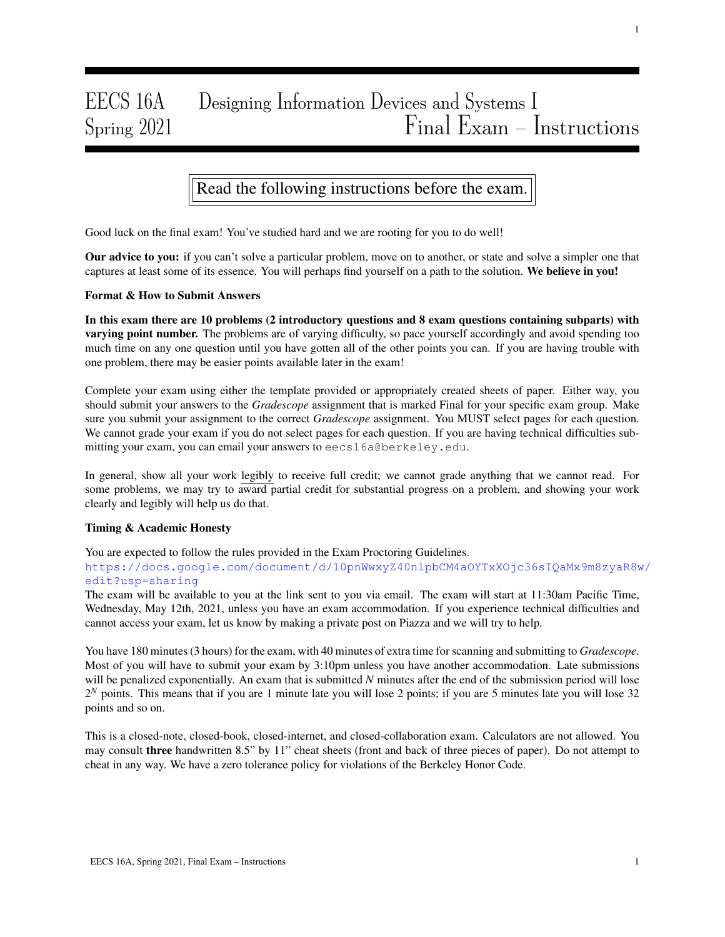# EECS 16A Designing Information Devices and Systems I  $S_{\text{pring}} 2021$   $Final$   $E_{\text{ram}} -$  Instructions

## Read the following instructions before the exam.

Good luck on the final exam! You've studied hard and we are rooting for you to do well!

Our advice to you: if you can't solve a particular problem, move on to another, or state and solve a simpler one that captures at least some of its essence. You will perhaps find yourself on a path to the solution. We believe in you!

#### Format & How to Submit Answers

In this exam there are 10 problems (2 introductory questions and 8 exam questions containing subparts) with varying point number. The problems are of varying difficulty, so pace yourself accordingly and avoid spending too much time on any one question until you have gotten all of the other points you can. If you are having trouble with one problem, there may be easier points available later in the exam!

Complete your exam using either the template provided or appropriately created sheets of paper. Either way, you should submit your answers to the *Gradescope* assignment that is marked Final for your specific exam group. Make sure you submit your assignment to the correct *Gradescope* assignment. You MUST select pages for each question. We cannot grade your exam if you do not select pages for each question. If you are having technical difficulties submitting your exam, you can email your answers to eecs16a@berkeley.edu.

In general, show all your work legibly to receive full credit; we cannot grade anything that we cannot read. For some problems, we may try to award partial credit for substantial progress on a problem, and showing your work clearly and legibly will help us do that.

#### Timing & Academic Honesty

You are expected to follow the rules provided in the Exam Proctoring Guidelines.

https://docs.google.com/document/d/10pnWwxyZ40nlpbCM4aOYTxXOjc36sIQaMx9m8zyaR8w/ edit?usp=sharing

The exam will be available to you at the link sent to you via email. The exam will start at 11:30am Pacific Time, Wednesday, May 12th, 2021, unless you have an exam accommodation. If you experience technical difficulties and cannot access your exam, let us know by making a private post on Piazza and we will try to help.

You have 180 minutes (3 hours) for the exam, with 40 minutes of extra time for scanning and submitting to *Gradescope*. Most of you will have to submit your exam by 3:10pm unless you have another accommodation. Late submissions will be penalized exponentially. An exam that is submitted *N* minutes after the end of the submission period will lose  $2^N$  points. This means that if you are 1 minute late you will lose 2 points; if you are 5 minutes late you will lose 32 points and so on.

This is a closed-note, closed-book, closed-internet, and closed-collaboration exam. Calculators are not allowed. You may consult three handwritten 8.5" by 11" cheat sheets (front and back of three pieces of paper). Do not attempt to cheat in any way. We have a zero tolerance policy for violations of the Berkeley Honor Code.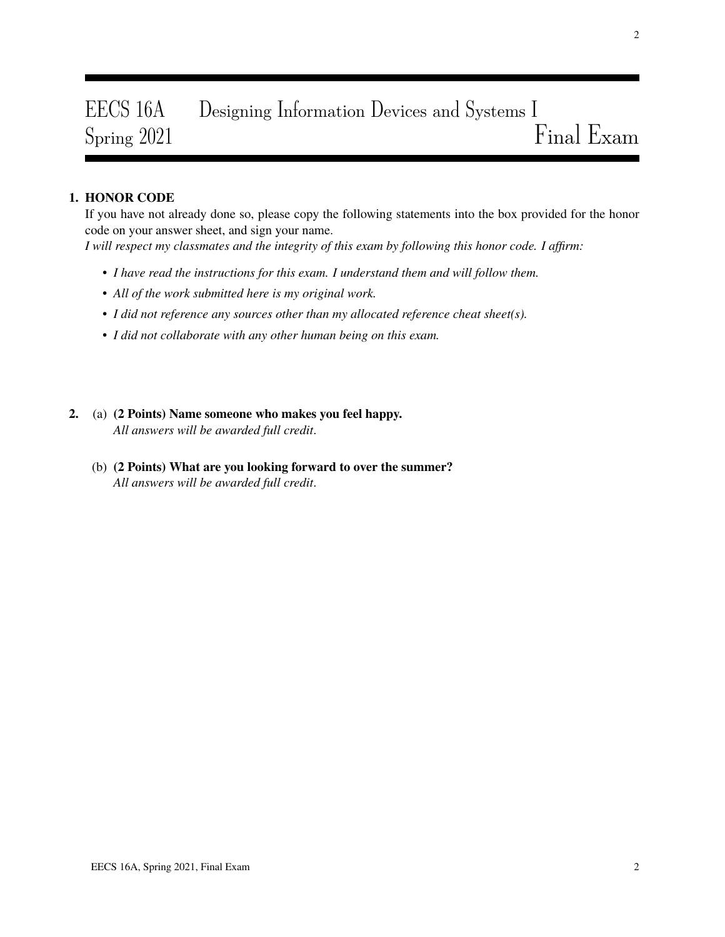# EECS 16A Designing Information Devices and Systems I  $Spring 2021$   $Final$  Exam

### 1. HONOR CODE

If you have not already done so, please copy the following statements into the box provided for the honor code on your answer sheet, and sign your name.

*I will respect my classmates and the integrity of this exam by following this honor code. I affirm:*

- *I have read the instructions for this exam. I understand them and will follow them.*
- *All of the work submitted here is my original work.*
- *I did not reference any sources other than my allocated reference cheat sheet(s).*
- *I did not collaborate with any other human being on this exam.*
- 2. (a) (2 Points) Name someone who makes you feel happy. *All answers will be awarded full credit*.
	- (b) (2 Points) What are you looking forward to over the summer? *All answers will be awarded full credit*.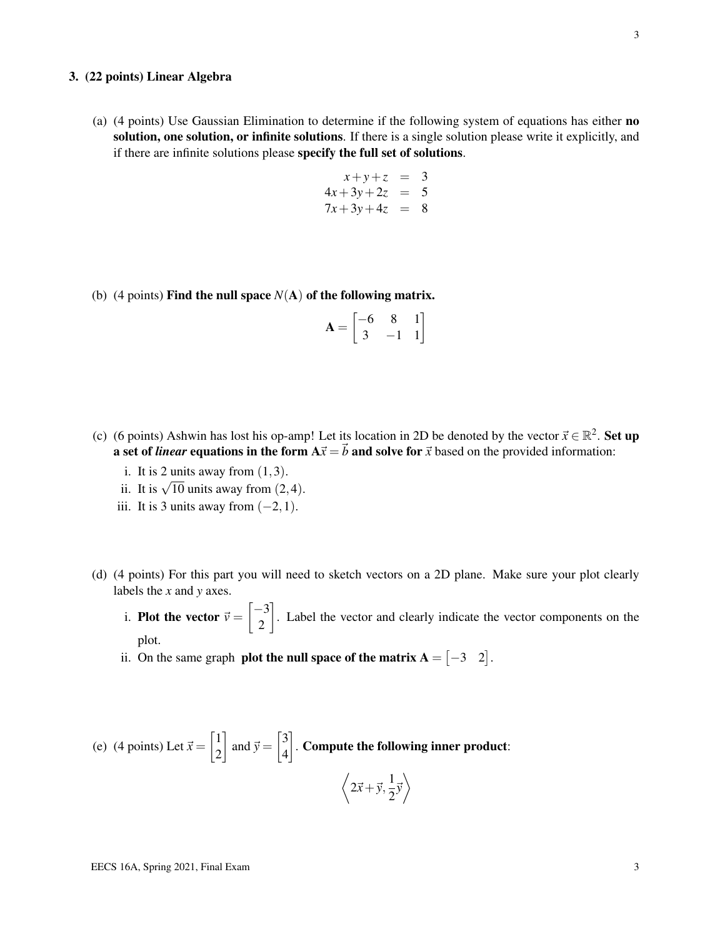#### 3. (22 points) Linear Algebra

(a) (4 points) Use Gaussian Elimination to determine if the following system of equations has either no solution, one solution, or infinite solutions. If there is a single solution please write it explicitly, and if there are infinite solutions please specify the full set of solutions.

$$
x+y+z = 3
$$
  
\n
$$
4x+3y+2z = 5
$$
  
\n
$$
7x+3y+4z = 8
$$

(b) (4 points) **Find the null space**  $N(A)$  of the following matrix.

$$
\mathbf{A} = \begin{bmatrix} -6 & 8 & 1 \\ 3 & -1 & 1 \end{bmatrix}
$$

- (c) (6 points) Ashwin has lost his op-amp! Let its location in 2D be denoted by the vector  $\vec{x} \in \mathbb{R}^2$ . Set up a set of *linear* equations in the form  $A\vec{x} = \vec{b}$  and solve for  $\vec{x}$  based on the provided information:
	- i. It is 2 units away from  $(1,3)$ .
	- ii. It is  $\sqrt{10}$  units away from  $(2, 4)$ .
	- iii. It is 3 units away from  $(-2,1)$ .
- (d) (4 points) For this part you will need to sketch vectors on a 2D plane. Make sure your plot clearly labels the *x* and *y* axes.
	- i. **Plot the vector**  $\vec{v} =$  $\lceil -3 \rceil$ 2 1 . Label the vector and clearly indicate the vector components on the plot.
	- ii. On the same graph **plot the null space of the matrix A** =  $\begin{bmatrix} -3 & 2 \end{bmatrix}$ .

(e) (4 points) Let 
$$
\vec{x} = \begin{bmatrix} 1 \\ 2 \end{bmatrix}
$$
 and  $\vec{y} = \begin{bmatrix} 3 \\ 4 \end{bmatrix}$ . Compute the following inner product:  

$$
\left\langle 2\vec{x} + \vec{y}, \frac{1}{2}\vec{y} \right\rangle
$$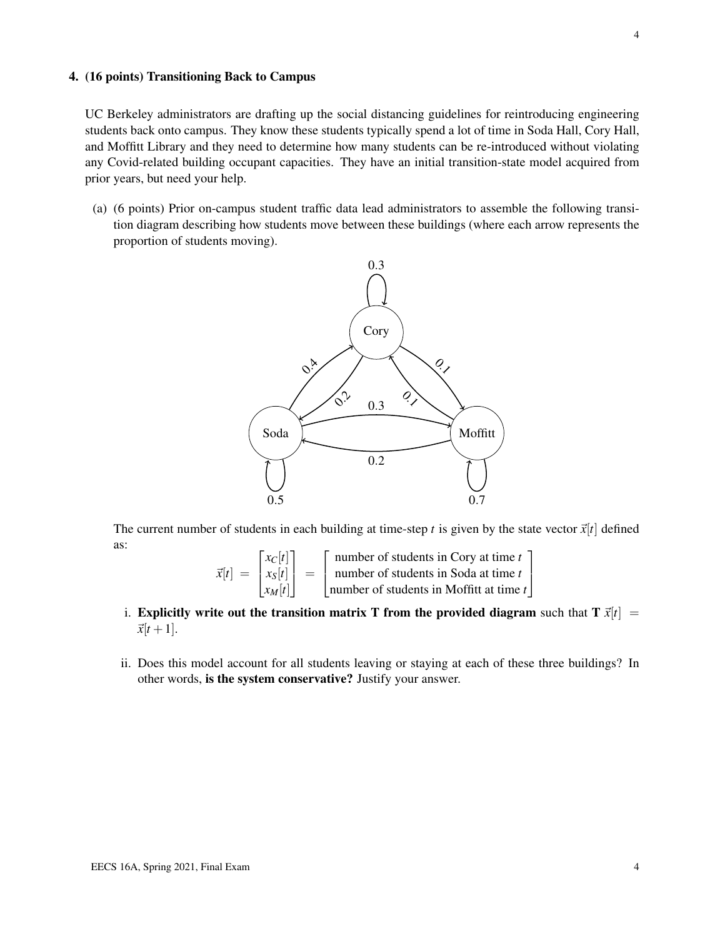#### 4. (16 points) Transitioning Back to Campus

UC Berkeley administrators are drafting up the social distancing guidelines for reintroducing engineering students back onto campus. They know these students typically spend a lot of time in Soda Hall, Cory Hall, and Moffitt Library and they need to determine how many students can be re-introduced without violating any Covid-related building occupant capacities. They have an initial transition-state model acquired from prior years, but need your help.

(a) (6 points) Prior on-campus student traffic data lead administrators to assemble the following transition diagram describing how students move between these buildings (where each arrow represents the proportion of students moving).



The current number of students in each building at time-step *t* is given by the state vector  $\vec{x}[t]$  defined as:

$$
\vec{x}[t] = \begin{bmatrix} x_C[t] \\ x_S[t] \\ x_M[t] \end{bmatrix} = \begin{bmatrix} \text{number of students in Cory at time } t \\ \text{number of students in Soda at time } t \\ \text{number of students in Moffitt at time } t \end{bmatrix}
$$

- i. Explicitly write out the transition matrix T from the provided diagram such that  $T \vec{x}[t] =$  $\vec{x}[t+1]$ .
- ii. Does this model account for all students leaving or staying at each of these three buildings? In other words, is the system conservative? Justify your answer.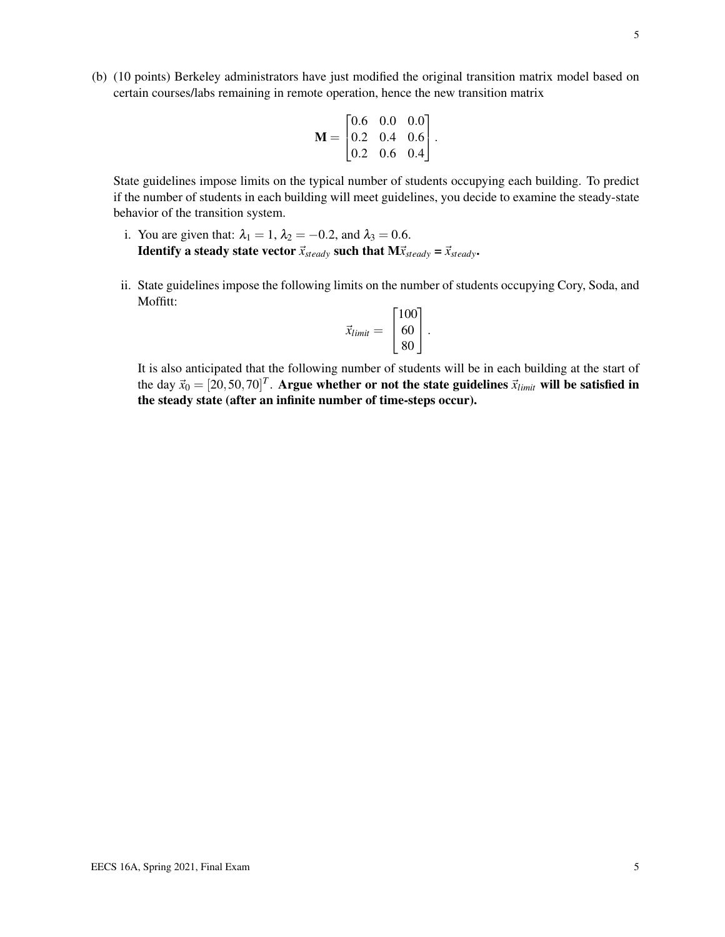(b) (10 points) Berkeley administrators have just modified the original transition matrix model based on certain courses/labs remaining in remote operation, hence the new transition matrix

$$
\mathbf{M} = \begin{bmatrix} 0.6 & 0.0 & 0.0 \\ 0.2 & 0.4 & 0.6 \\ 0.2 & 0.6 & 0.4 \end{bmatrix}.
$$

State guidelines impose limits on the typical number of students occupying each building. To predict if the number of students in each building will meet guidelines, you decide to examine the steady-state behavior of the transition system.

- i. You are given that:  $\lambda_1 = 1$ ,  $\lambda_2 = -0.2$ , and  $\lambda_3 = 0.6$ . **Identify a steady state vector**  $\vec{x}_{steady}$  such that  $M\vec{x}_{steady} = \vec{x}_{steady}$ .
- ii. State guidelines impose the following limits on the number of students occupying Cory, Soda, and Moffitt:

$$
\vec{x}_{limit} = \begin{bmatrix} 100 \\ 60 \\ 80 \end{bmatrix}.
$$

It is also anticipated that the following number of students will be in each building at the start of the day  $\vec{x}_0 = [20, 50, 70]^T$ . Argue whether or not the state guidelines  $\vec{x}_{limit}$  will be satisfied in the steady state (after an infinite number of time-steps occur).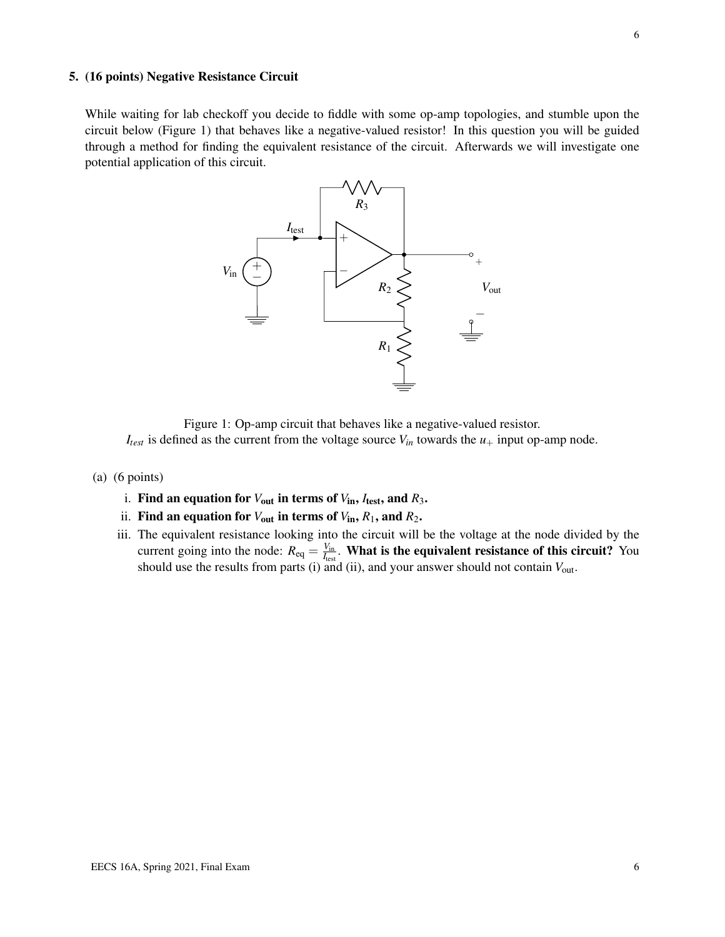#### 5. (16 points) Negative Resistance Circuit

While waiting for lab checkoff you decide to fiddle with some op-amp topologies, and stumble upon the circuit below (Figure 1) that behaves like a negative-valued resistor! In this question you will be guided through a method for finding the equivalent resistance of the circuit. Afterwards we will investigate one potential application of this circuit.



Figure 1: Op-amp circuit that behaves like a negative-valued resistor.

 $I_{test}$  is defined as the current from the voltage source  $V_{in}$  towards the  $u_+$  input op-amp node.

- (a) (6 points)
	- i. Find an equation for  $V_{\text{out}}$  in terms of  $V_{\text{in}}$ ,  $I_{\text{test}}$ , and  $R_3$ .
	- ii. Find an equation for  $V_{\text{out}}$  in terms of  $V_{\text{in}}$ ,  $R_1$ , and  $R_2$ .
	- iii. The equivalent resistance looking into the circuit will be the voltage at the node divided by the current going into the node:  $R_{eq} = \frac{V_{in}}{I_{per}}$  $\frac{V_{\text{in}}}{I_{\text{test}}}$ . **What is the equivalent resistance of this circuit?** You should use the results from parts (i) and (ii), and your answer should not contain *V*out.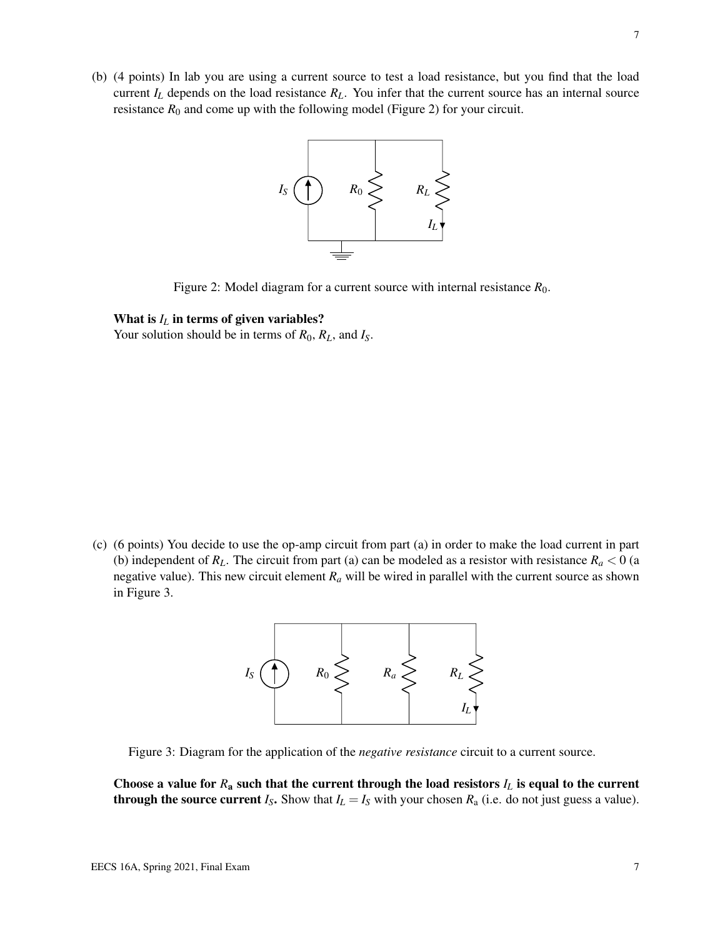(b) (4 points) In lab you are using a current source to test a load resistance, but you find that the load current  $I_L$  depends on the load resistance  $R_L$ . You infer that the current source has an internal source resistance  $R_0$  and come up with the following model (Figure 2) for your circuit.



Figure 2: Model diagram for a current source with internal resistance  $R_0$ .

#### What is  $I_L$  in terms of given variables?

Your solution should be in terms of  $R_0$ ,  $R_L$ , and  $I_S$ .

(c) (6 points) You decide to use the op-amp circuit from part (a) in order to make the load current in part (b) independent of  $R_L$ . The circuit from part (a) can be modeled as a resistor with resistance  $R_a < 0$  (a negative value). This new circuit element  $R_a$  will be wired in parallel with the current source as shown in Figure 3.



Figure 3: Diagram for the application of the *negative resistance* circuit to a current source.

Choose a value for  $R_a$  such that the current through the load resistors  $I_L$  is equal to the current **through the source current**  $I_S$ . Show that  $I_L = I_S$  with your chosen  $R_a$  (i.e. do not just guess a value).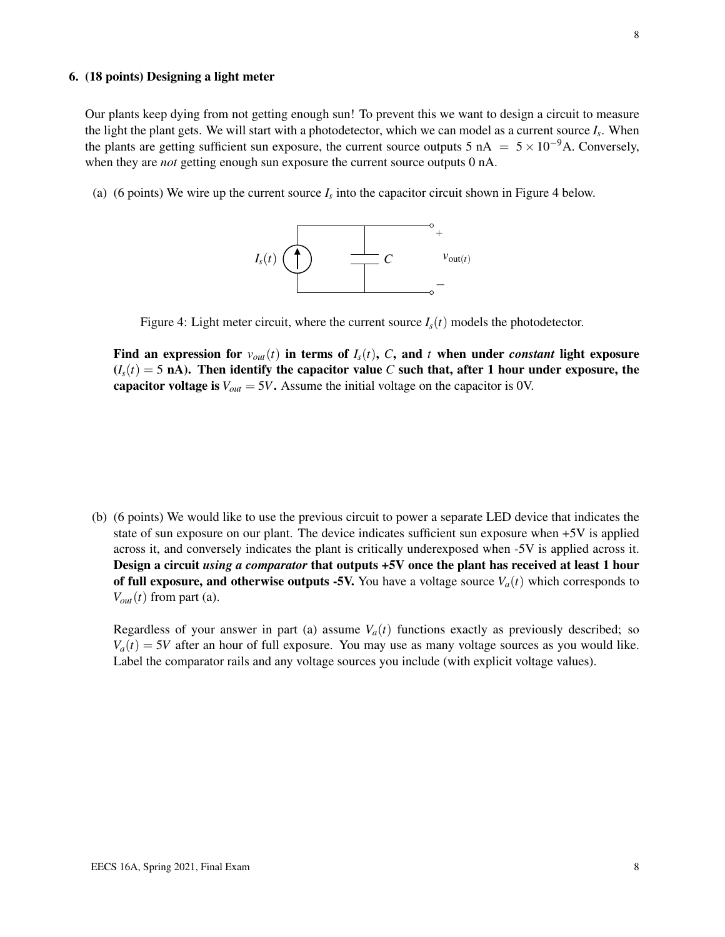### 6. (18 points) Designing a light meter

Our plants keep dying from not getting enough sun! To prevent this we want to design a circuit to measure the light the plant gets. We will start with a photodetector, which we can model as a current source *I<sup>s</sup>* . When the plants are getting sufficient sun exposure, the current source outputs 5 nA =  $5 \times 10^{-9}$ A. Conversely, when they are *not* getting enough sun exposure the current source outputs 0 nA.

(a) (6 points) We wire up the current source  $I_s$  into the capacitor circuit shown in Figure 4 below.



Figure 4: Light meter circuit, where the current source  $I_s(t)$  models the photodetector.

Find an expression for  $v_{out}(t)$  in terms of  $I_s(t)$ , C, and t when under *constant* light exposure  $(I_s(t) = 5 \text{ nA})$ . Then identify the capacitor value *C* such that, after 1 hour under exposure, the capacitor voltage is  $V_{out} = 5V$ . Assume the initial voltage on the capacitor is 0V.

(b) (6 points) We would like to use the previous circuit to power a separate LED device that indicates the state of sun exposure on our plant. The device indicates sufficient sun exposure when +5V is applied across it, and conversely indicates the plant is critically underexposed when -5V is applied across it. Design a circuit *using a comparator* that outputs +5V once the plant has received at least 1 hour of full exposure, and otherwise outputs -5V. You have a voltage source  $V_a(t)$  which corresponds to  $V_{out}(t)$  from part (a).

Regardless of your answer in part (a) assume  $V_a(t)$  functions exactly as previously described; so  $V_a(t) = 5V$  after an hour of full exposure. You may use as many voltage sources as you would like. Label the comparator rails and any voltage sources you include (with explicit voltage values).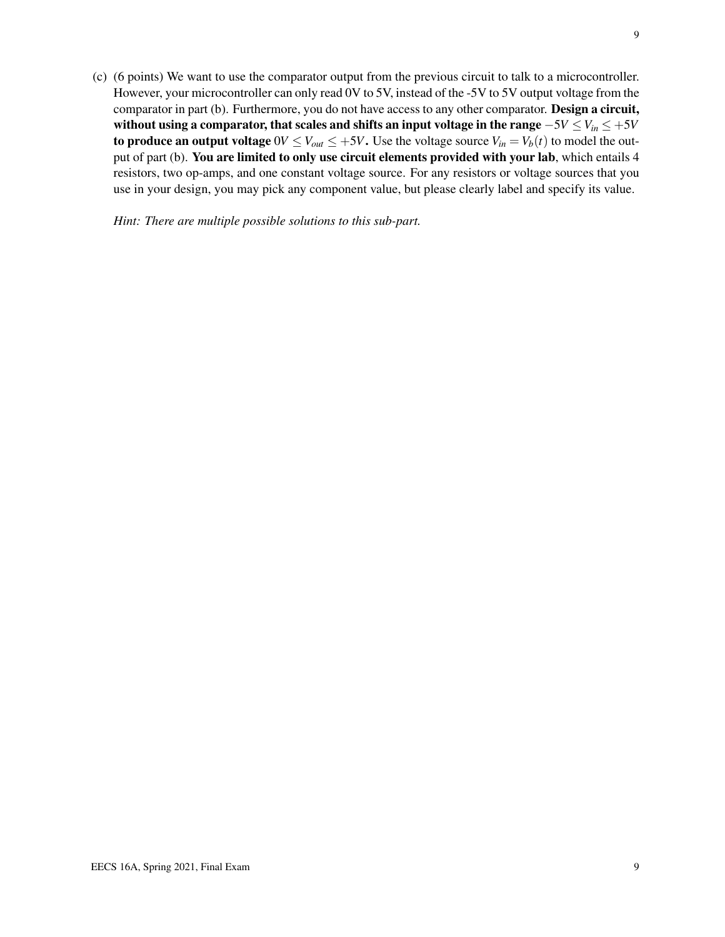(c) (6 points) We want to use the comparator output from the previous circuit to talk to a microcontroller. However, your microcontroller can only read 0V to 5V, instead of the -5V to 5V output voltage from the comparator in part (b). Furthermore, you do not have access to any other comparator. Design a circuit, without using a comparator, that scales and shifts an input voltage in the range −5*V* ≤*Vin* ≤ +5*V* to produce an output voltage  $0V \leq V_{out} \leq +5V$ . Use the voltage source  $V_{in} = V_b(t)$  to model the output of part (b). You are limited to only use circuit elements provided with your lab, which entails 4 resistors, two op-amps, and one constant voltage source. For any resistors or voltage sources that you use in your design, you may pick any component value, but please clearly label and specify its value.

*Hint: There are multiple possible solutions to this sub-part.*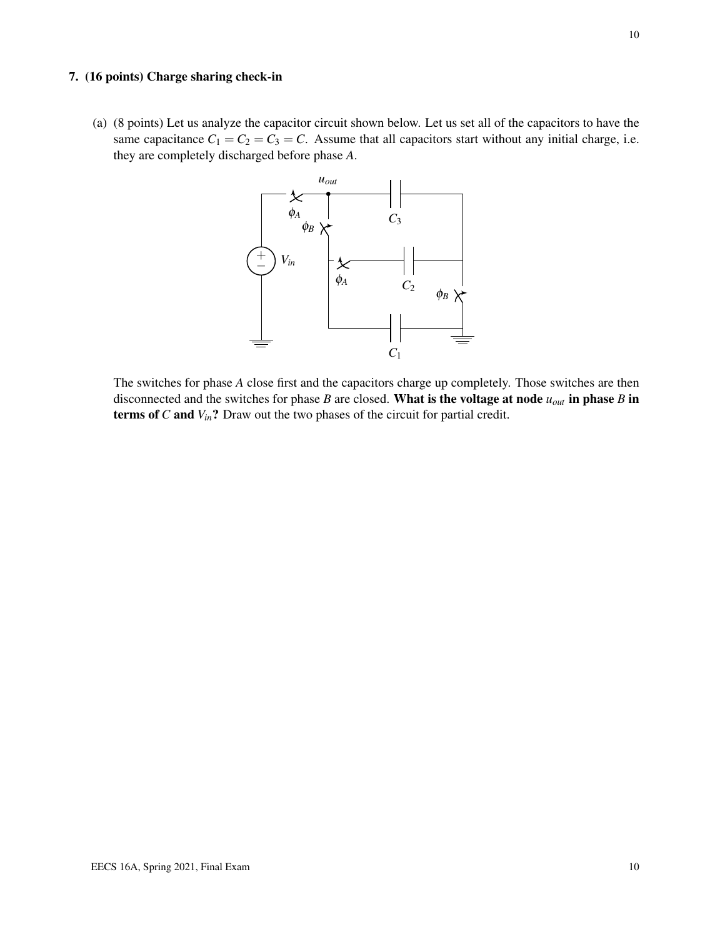#### 7. (16 points) Charge sharing check-in

(a) (8 points) Let us analyze the capacitor circuit shown below. Let us set all of the capacitors to have the same capacitance  $C_1 = C_2 = C_3 = C$ . Assume that all capacitors start without any initial charge, i.e. they are completely discharged before phase *A*.



The switches for phase *A* close first and the capacitors charge up completely. Those switches are then disconnected and the switches for phase *B* are closed. What is the voltage at node *uout* in phase *B* in terms of *C* and *Vin*? Draw out the two phases of the circuit for partial credit.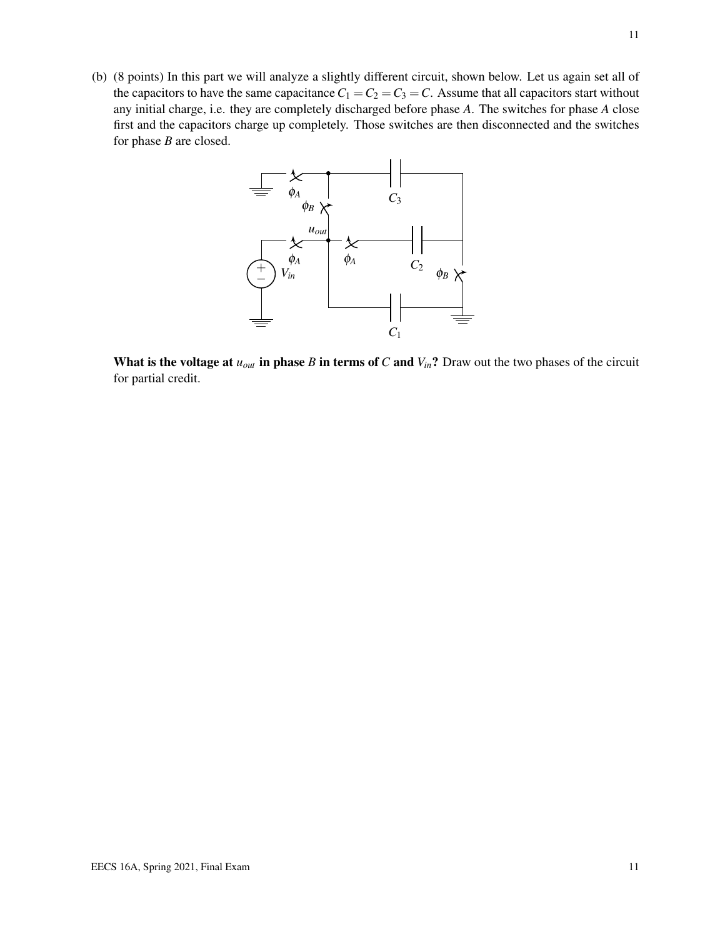(b) (8 points) In this part we will analyze a slightly different circuit, shown below. Let us again set all of the capacitors to have the same capacitance  $C_1 = C_2 = C_3 = C$ . Assume that all capacitors start without any initial charge, i.e. they are completely discharged before phase *A*. The switches for phase *A* close first and the capacitors charge up completely. Those switches are then disconnected and the switches for phase *B* are closed.



What is the voltage at  $u_{out}$  in phase *B* in terms of *C* and  $V_{in}$ ? Draw out the two phases of the circuit for partial credit.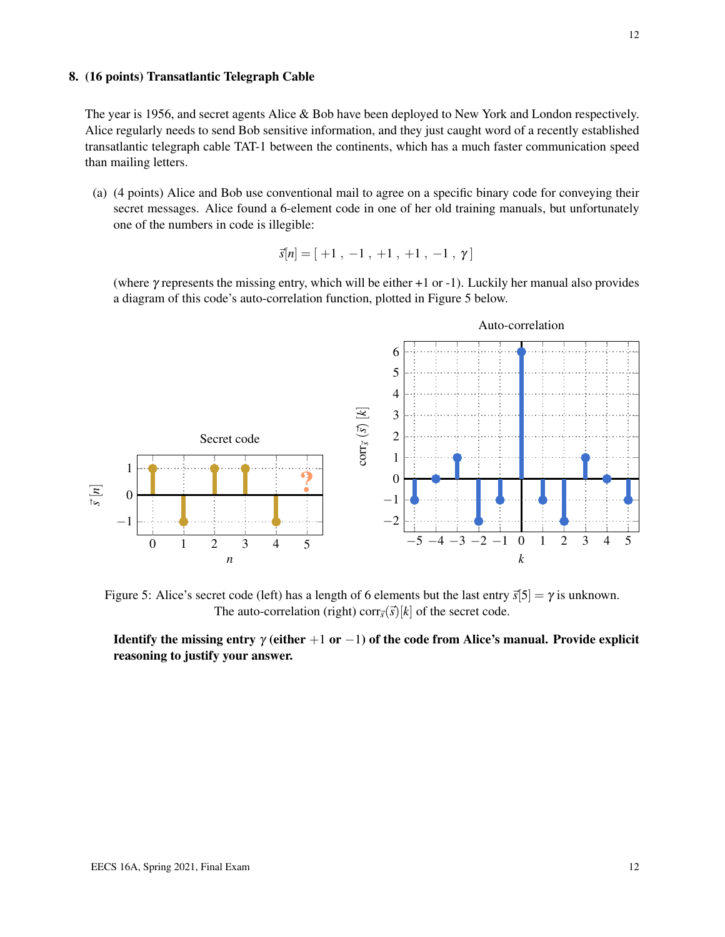#### 8. (16 points) Transatlantic Telegraph Cable

The year is 1956, and secret agents Alice & Bob have been deployed to New York and London respectively. Alice regularly needs to send Bob sensitive information, and they just caught word of a recently established transatlantic telegraph cable TAT-1 between the continents, which has a much faster communication speed than mailing letters.

(a) (4 points) Alice and Bob use conventional mail to agree on a specific binary code for conveying their secret messages. Alice found a 6-element code in one of her old training manuals, but unfortunately one of the numbers in code is illegible:

$$
\vec{s}[n] = [ +1 , -1 , +1 , +1 , -1 , \gamma ]
$$

(where γ represents the missing entry, which will be either +1 or -1). Luckily her manual also provides a diagram of this code's auto-correlation function, plotted in Figure 5 below.



Figure 5: Alice's secret code (left) has a length of 6 elements but the last entry  $\vec{s}[5] = \gamma$  is unknown. The auto-correlation (right) corr $\vec{s}$ ( $\vec{s}$ )[ $k$ ] of the secret code.

Identify the missing entry  $\gamma$  (either +1 or -1) of the code from Alice's manual. Provide explicit reasoning to justify your answer.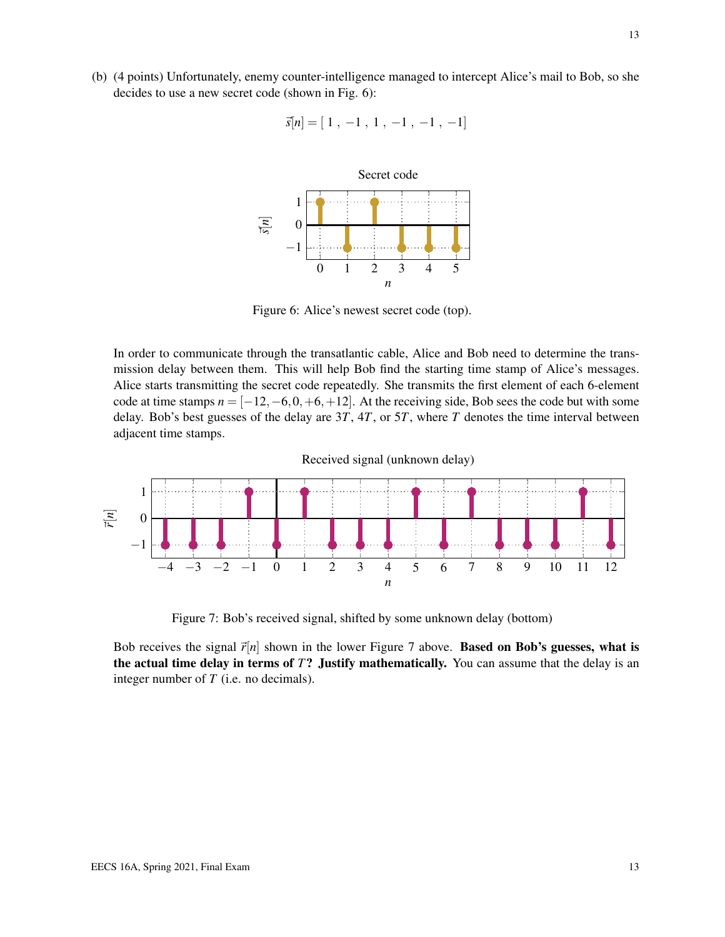(b) (4 points) Unfortunately, enemy counter-intelligence managed to intercept Alice's mail to Bob, so she decides to use a new secret code (shown in Fig. 6):

$$
\vec{s}[n] = [1, -1, 1, -1, -1, -1]
$$



Figure 6: Alice's newest secret code (top).

In order to communicate through the transatlantic cable, Alice and Bob need to determine the transmission delay between them. This will help Bob find the starting time stamp of Alice's messages. Alice starts transmitting the secret code repeatedly. She transmits the first element of each 6-element code at time stamps  $n = [-12, -6, 0, +6, +12]$ . At the receiving side, Bob sees the code but with some delay. Bob's best guesses of the delay are 3*T*, 4*T*, or 5*T*, where *T* denotes the time interval between adjacent time stamps.



Figure 7: Bob's received signal, shifted by some unknown delay (bottom)

Bob receives the signal  $\vec{r}[n]$  shown in the lower Figure 7 above. **Based on Bob's guesses, what is** the actual time delay in terms of *T*? Justify mathematically. You can assume that the delay is an integer number of *T* (i.e. no decimals).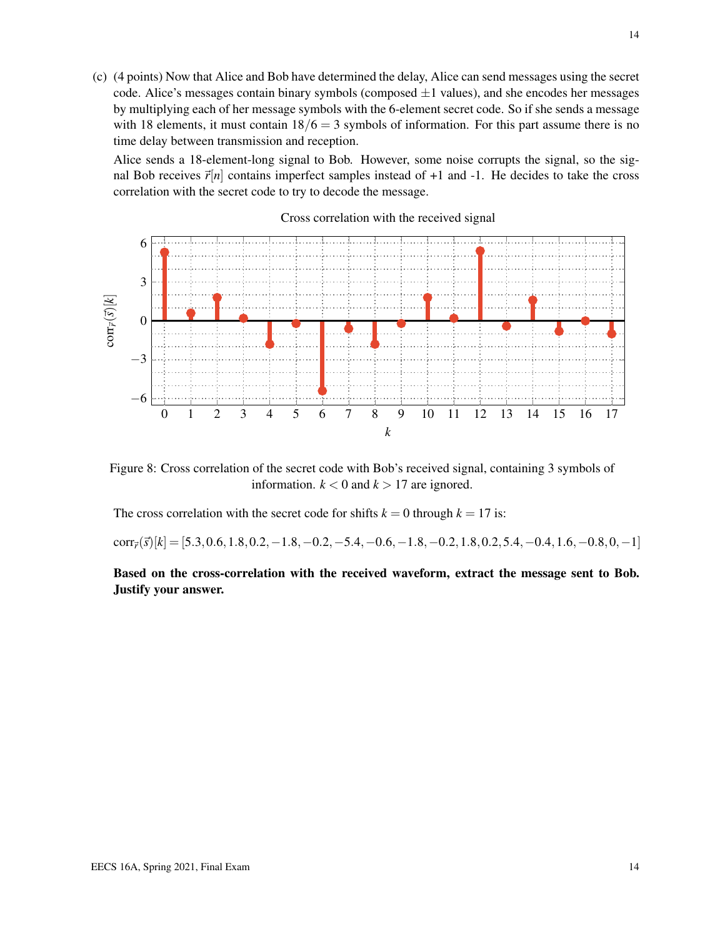(c) (4 points) Now that Alice and Bob have determined the delay, Alice can send messages using the secret code. Alice's messages contain binary symbols (composed  $\pm 1$  values), and she encodes her messages by multiplying each of her message symbols with the 6-element secret code. So if she sends a message with 18 elements, it must contain  $18/6 = 3$  symbols of information. For this part assume there is no time delay between transmission and reception.

Alice sends a 18-element-long signal to Bob. However, some noise corrupts the signal, so the signal Bob receives  $\vec{r}[n]$  contains imperfect samples instead of +1 and -1. He decides to take the cross correlation with the secret code to try to decode the message.



#### Cross correlation with the received signal

Figure 8: Cross correlation of the secret code with Bob's received signal, containing 3 symbols of information.  $k < 0$  and  $k > 17$  are ignored.

The cross correlation with the secret code for shifts  $k = 0$  through  $k = 17$  is:

 $corr_{\vec{r}}(\vec{s})[k] = [5.3, 0.6, 1.8, 0.2, -1.8, -0.2, -5.4, -0.6, -1.8, -0.2, 1.8, 0.2, 5.4, -0.4, 1.6, -0.8, 0, -1]$ 

Based on the cross-correlation with the received waveform, extract the message sent to Bob. Justify your answer.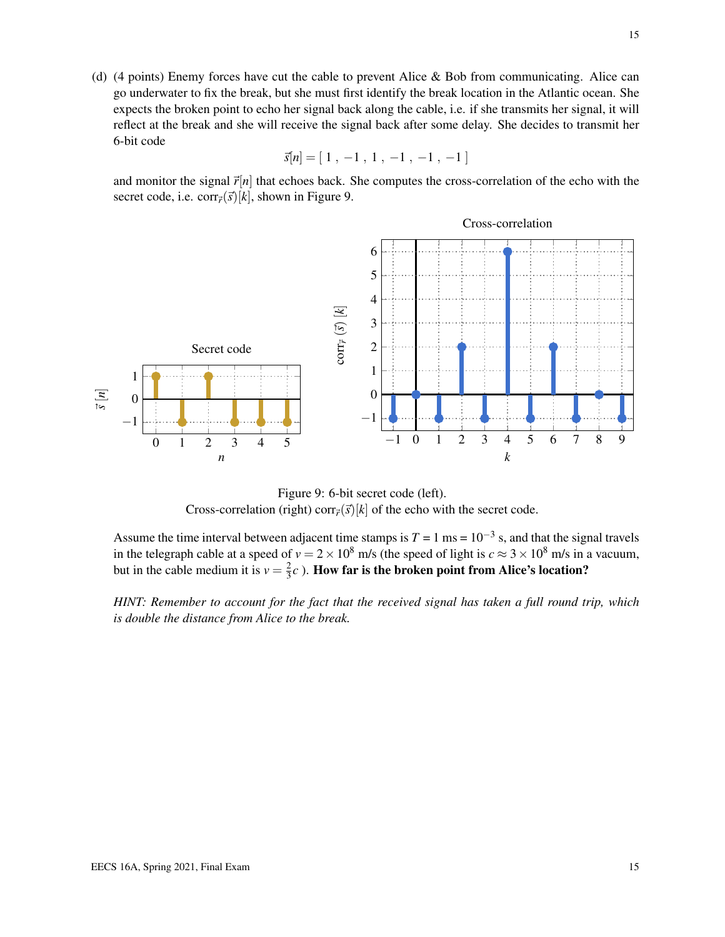(d) (4 points) Enemy forces have cut the cable to prevent Alice & Bob from communicating. Alice can go underwater to fix the break, but she must first identify the break location in the Atlantic ocean. She expects the broken point to echo her signal back along the cable, i.e. if she transmits her signal, it will reflect at the break and she will receive the signal back after some delay. She decides to transmit her 6-bit code

$$
\vec{s}[n] = [1, -1, 1, -1, -1, -1]
$$

and monitor the signal  $\vec{r}[n]$  that echoes back. She computes the cross-correlation of the echo with the secret code, i.e. corr $\vec{r}(\vec{s})[k]$ , shown in Figure 9.



Figure 9: 6-bit secret code (left). Cross-correlation (right) corr $\vec{r}(\vec{s})[k]$  of the echo with the secret code.

Assume the time interval between adjacent time stamps is  $T = 1$  ms =  $10^{-3}$  s, and that the signal travels in the telegraph cable at a speed of  $v = 2 \times 10^8$  m/s (the speed of light is  $c \approx 3 \times 10^8$  m/s in a vacuum, but in the cable medium it is  $v = \frac{2}{3}$  $\frac{2}{3}c$  ). How far is the broken point from Alice's location?

*HINT: Remember to account for the fact that the received signal has taken a full round trip, which is double the distance from Alice to the break.*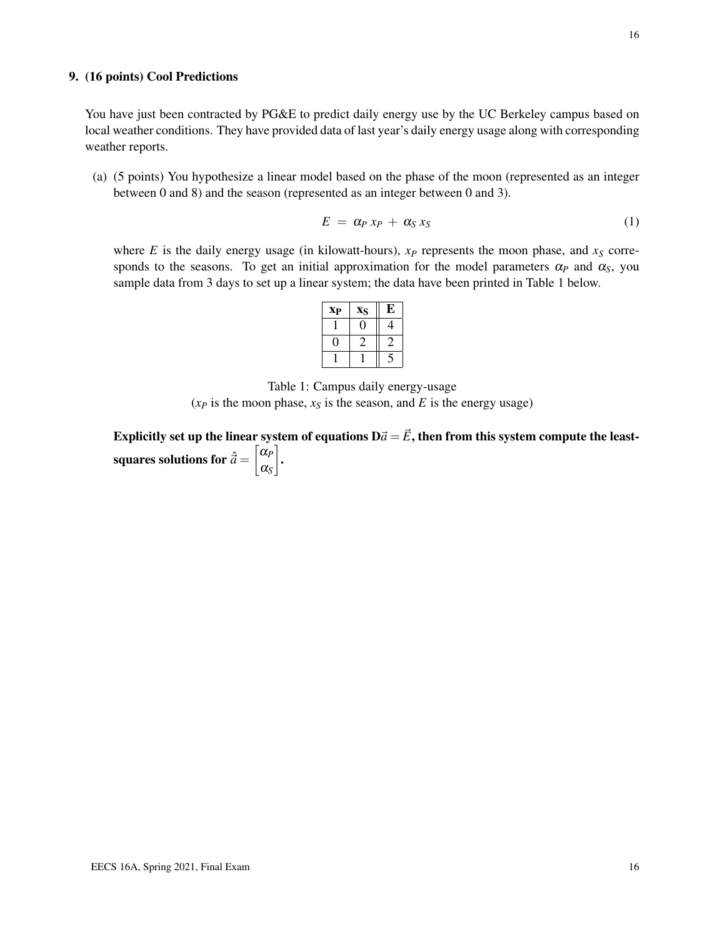You have just been contracted by PG&E to predict daily energy use by the UC Berkeley campus based on local weather conditions. They have provided data of last year's daily energy usage along with corresponding weather reports.

(a) (5 points) You hypothesize a linear model based on the phase of the moon (represented as an integer between 0 and 8) and the season (represented as an integer between 0 and 3).

$$
E = \alpha_P x_P + \alpha_S x_S \tag{1}
$$

where *E* is the daily energy usage (in kilowatt-hours),  $x_P$  represents the moon phase, and  $x_S$  corresponds to the seasons. To get an initial approximation for the model parameters  $\alpha_p$  and  $\alpha_s$ , you sample data from 3 days to set up a linear system; the data have been printed in Table 1 below.

| <b>X<sub>P</sub></b> | XS | Е |
|----------------------|----|---|
|                      |    |   |
|                      |    |   |
|                      |    |   |

Table 1: Campus daily energy-usage  $(x_P$  is the moon phase,  $x_S$  is the season, and *E* is the energy usage)

Explicitly set up the linear system of equations  $D\vec{a} = \vec{E}$ , then from this system compute the leastsquares solutions for  $\hat{\vec{a}} = \begin{bmatrix} \alpha_p \\ \alpha_p \end{bmatrix}$ α*S*  $\overline{1}$ .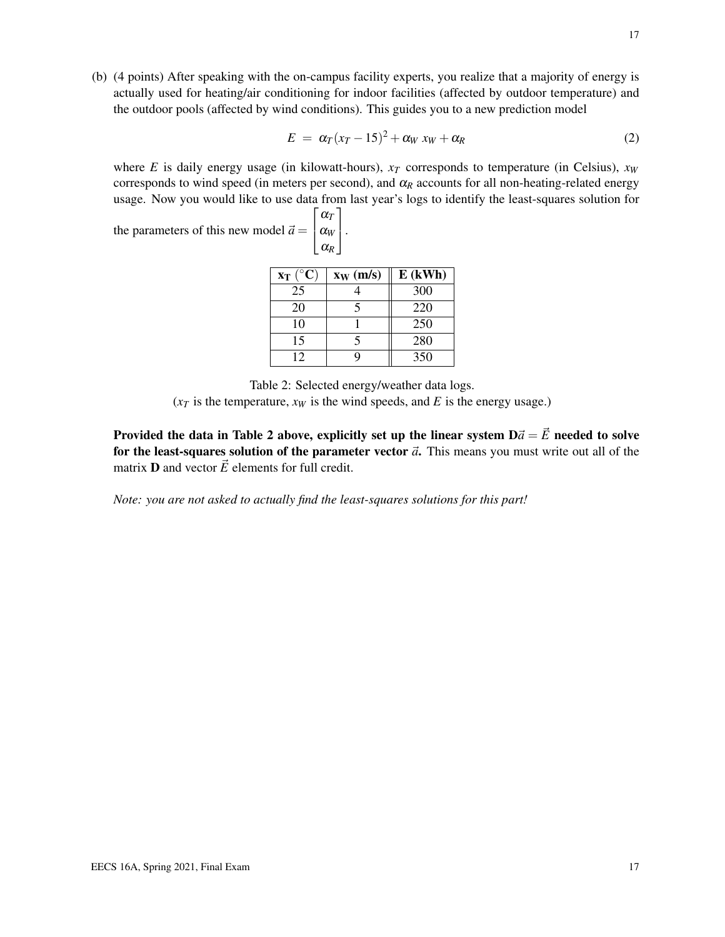(b) (4 points) After speaking with the on-campus facility experts, you realize that a majority of energy is actually used for heating/air conditioning for indoor facilities (affected by outdoor temperature) and the outdoor pools (affected by wind conditions). This guides you to a new prediction model

$$
E = \alpha_T (x_T - 15)^2 + \alpha_W x_W + \alpha_R \tag{2}
$$

where *E* is daily energy usage (in kilowatt-hours),  $x_T$  corresponds to temperature (in Celsius),  $x_W$ corresponds to wind speed (in meters per second), and  $\alpha_R$  accounts for all non-heating-related energy usage. Now you would like to use data from last year's logs to identify the least-squares solution for 1

the parameters of this new model  $\vec{a} =$  $\sqrt{ }$  $\mathbf{I}$ α*T* α*<sup>W</sup>* α*R*

| $x_T (^\circ C)$ | $x_W$ (m/s) | $E$ (kWh) |
|------------------|-------------|-----------|
| 25               |             | 300       |
| 20               |             | 220       |
| 10               |             | 250       |
| 15               |             | 280       |
| 12               |             | 350       |

 $\vert \cdot$ 

Table 2: Selected energy/weather data logs.

 $(x<sub>T</sub>$  is the temperature,  $x<sub>W</sub>$  is the wind speeds, and *E* is the energy usage.)

Provided the data in Table 2 above, explicitly set up the linear system  $D\vec{a} = \vec{E}$  needed to solve for the least-squares solution of the parameter vector  $\vec{a}$ . This means you must write out all of the matrix **D** and vector  $\vec{E}$  elements for full credit.

*Note: you are not asked to actually find the least-squares solutions for this part!*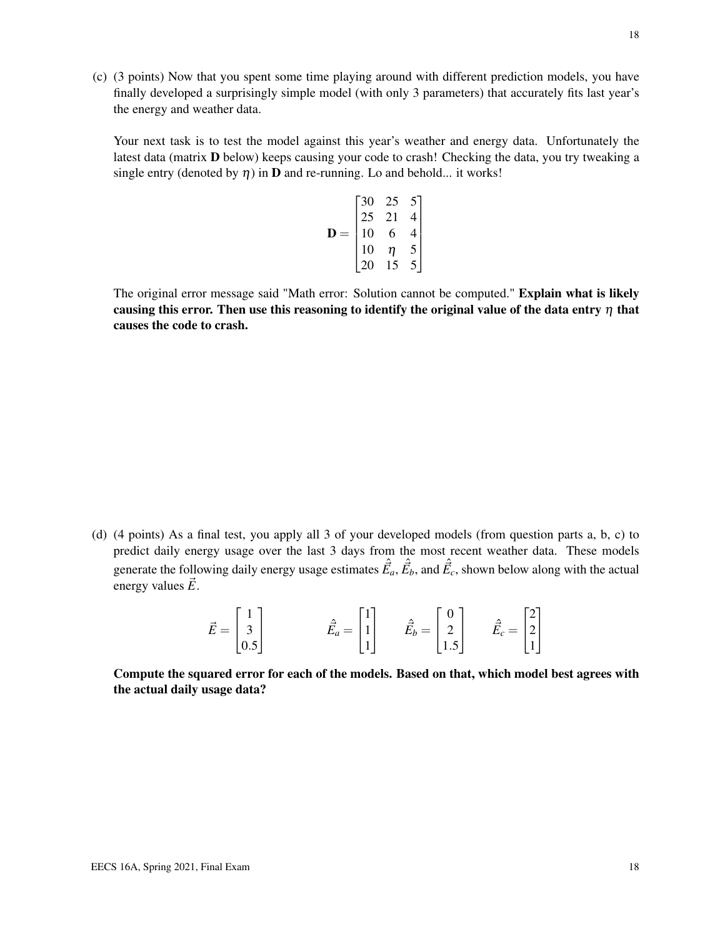(c) (3 points) Now that you spent some time playing around with different prediction models, you have finally developed a surprisingly simple model (with only 3 parameters) that accurately fits last year's the energy and weather data.

Your next task is to test the model against this year's weather and energy data. Unfortunately the latest data (matrix **D** below) keeps causing your code to crash! Checking the data, you try tweaking a single entry (denoted by  $\eta$ ) in **D** and re-running. Lo and behold... it works!

$$
\mathbf{D} = \begin{bmatrix} 30 & 25 & 5 \\ 25 & 21 & 4 \\ 10 & 6 & 4 \\ 10 & \eta & 5 \\ 20 & 15 & 5 \end{bmatrix}
$$

The original error message said "Math error: Solution cannot be computed." Explain what is likely causing this error. Then use this reasoning to identify the original value of the data entry  $\eta$  that causes the code to crash.

(d) (4 points) As a final test, you apply all 3 of your developed models (from question parts a, b, c) to predict daily energy usage over the last 3 days from the most recent weather data. These models generate the following daily energy usage estimates  $\hat{\vec{E}}_a$ ,  $\hat{\vec{E}}_b$ , and  $\hat{\vec{E}}_c$ , shown below along with the actual energy values  $\vec{E}$ .

$$
\vec{E} = \begin{bmatrix} 1 \\ 3 \\ 0.5 \end{bmatrix} \qquad \qquad \hat{\vec{E}}_a = \begin{bmatrix} 1 \\ 1 \\ 1 \end{bmatrix} \qquad \hat{\vec{E}}_b = \begin{bmatrix} 0 \\ 2 \\ 1.5 \end{bmatrix} \qquad \hat{\vec{E}}_c = \begin{bmatrix} 2 \\ 2 \\ 1 \end{bmatrix}
$$

Compute the squared error for each of the models. Based on that, which model best agrees with the actual daily usage data?